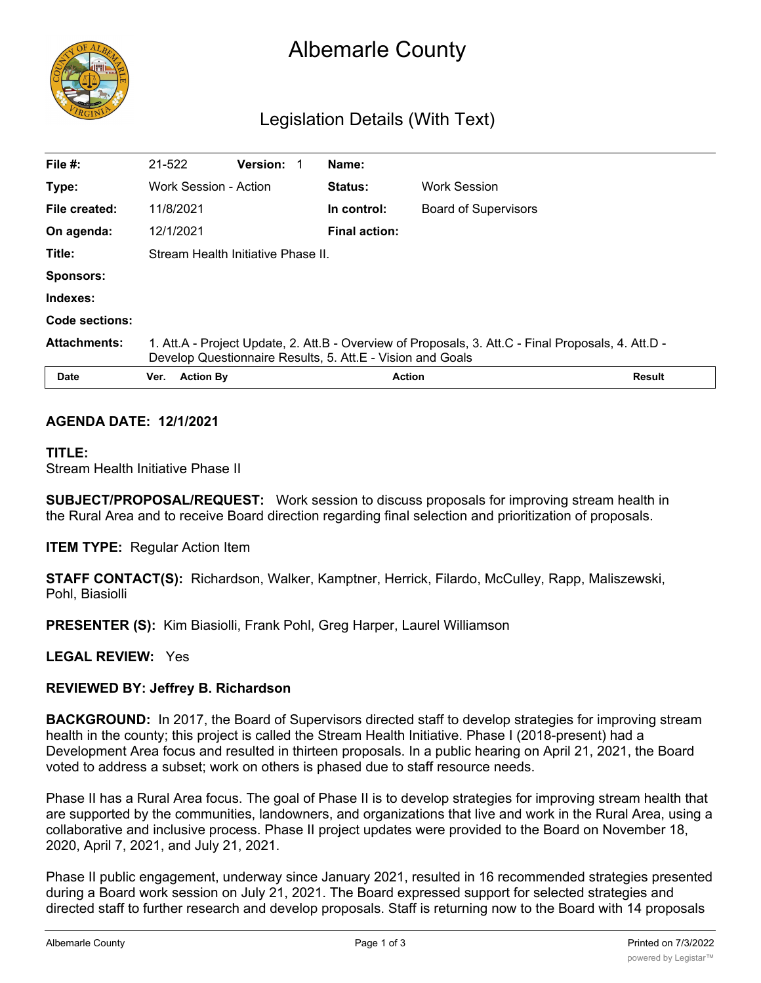

# Albemarle County

# Legislation Details (With Text)

| File #:             | 21-522                                                                                                                                                            | <b>Version:</b> |                | Name:                |                             |  |  |
|---------------------|-------------------------------------------------------------------------------------------------------------------------------------------------------------------|-----------------|----------------|----------------------|-----------------------------|--|--|
| Type:               | Work Session - Action                                                                                                                                             |                 | <b>Status:</b> | Work Session         |                             |  |  |
| File created:       | 11/8/2021                                                                                                                                                         |                 |                | In control:          | <b>Board of Supervisors</b> |  |  |
| On agenda:          | 12/1/2021                                                                                                                                                         |                 |                | <b>Final action:</b> |                             |  |  |
| Title:              | Stream Health Initiative Phase II.                                                                                                                                |                 |                |                      |                             |  |  |
| <b>Sponsors:</b>    |                                                                                                                                                                   |                 |                |                      |                             |  |  |
| Indexes:            |                                                                                                                                                                   |                 |                |                      |                             |  |  |
| Code sections:      |                                                                                                                                                                   |                 |                |                      |                             |  |  |
| <b>Attachments:</b> | 1. Att.A - Project Update, 2. Att.B - Overview of Proposals, 3. Att.C - Final Proposals, 4. Att.D -<br>Develop Questionnaire Results, 5. Att.E - Vision and Goals |                 |                |                      |                             |  |  |
| Date                | <b>Action By</b><br>Ver.                                                                                                                                          |                 |                | <b>Action</b>        | <b>Result</b>               |  |  |

#### **AGENDA DATE: 12/1/2021**

#### **TITLE:**

Stream Health Initiative Phase II

**SUBJECT/PROPOSAL/REQUEST:** Work session to discuss proposals for improving stream health in the Rural Area and to receive Board direction regarding final selection and prioritization of proposals.

**ITEM TYPE:** Regular Action Item

**STAFF CONTACT(S):** Richardson, Walker, Kamptner, Herrick, Filardo, McCulley, Rapp, Maliszewski, Pohl, Biasiolli

**PRESENTER (S):** Kim Biasiolli, Frank Pohl, Greg Harper, Laurel Williamson

#### **LEGAL REVIEW:** Yes

### **REVIEWED BY: Jeffrey B. Richardson**

**BACKGROUND:** In 2017, the Board of Supervisors directed staff to develop strategies for improving stream health in the county; this project is called the Stream Health Initiative. Phase I (2018-present) had a Development Area focus and resulted in thirteen proposals. In a public hearing on April 21, 2021, the Board voted to address a subset; work on others is phased due to staff resource needs.

Phase II has a Rural Area focus. The goal of Phase II is to develop strategies for improving stream health that are supported by the communities, landowners, and organizations that live and work in the Rural Area, using a collaborative and inclusive process. Phase II project updates were provided to the Board on November 18, 2020, April 7, 2021, and July 21, 2021.

Phase II public engagement, underway since January 2021, resulted in 16 recommended strategies presented during a Board work session on July 21, 2021. The Board expressed support for selected strategies and directed staff to further research and develop proposals. Staff is returning now to the Board with 14 proposals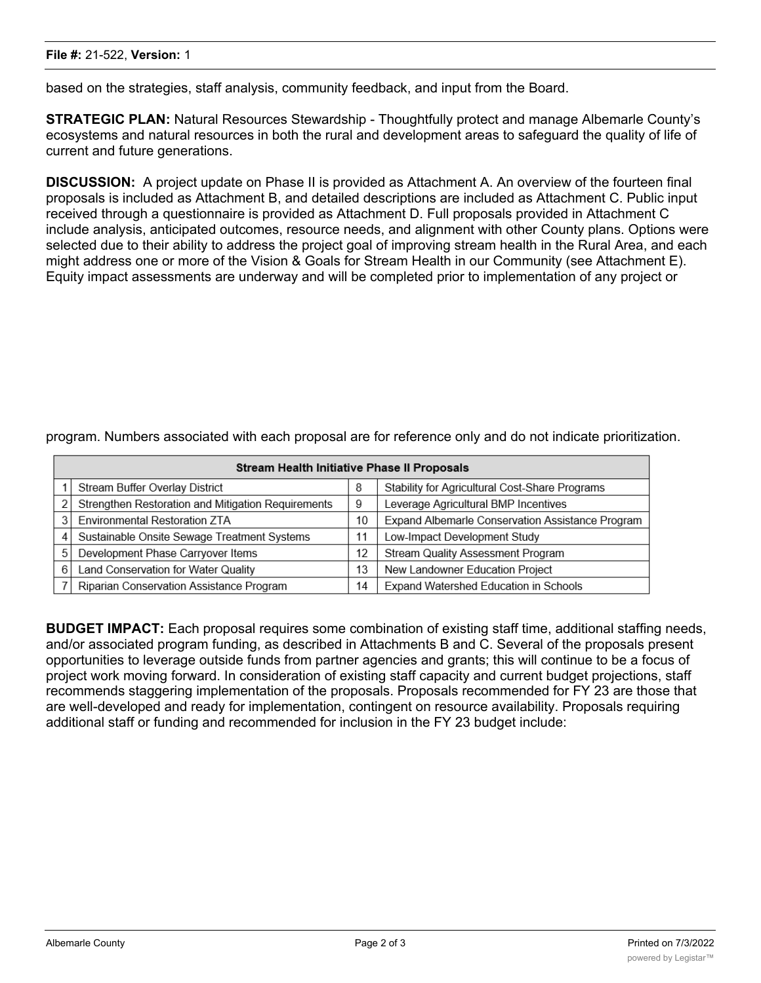based on the strategies, staff analysis, community feedback, and input from the Board.

**STRATEGIC PLAN:** Natural Resources Stewardship - Thoughtfully protect and manage Albemarle County's ecosystems and natural resources in both the rural and development areas to safeguard the quality of life of current and future generations.

**DISCUSSION:** A project update on Phase II is provided as Attachment A. An overview of the fourteen final proposals is included as Attachment B, and detailed descriptions are included as Attachment C. Public input received through a questionnaire is provided as Attachment D. Full proposals provided in Attachment C include analysis, anticipated outcomes, resource needs, and alignment with other County plans. Options were selected due to their ability to address the project goal of improving stream health in the Rural Area, and each might address one or more of the Vision & Goals for Stream Health in our Community (see Attachment E). Equity impact assessments are underway and will be completed prior to implementation of any project or

| Stream Health Initiative Phase II Proposals |                                                    |  |                                                  |  |  |  |  |  |  |
|---------------------------------------------|----------------------------------------------------|--|--------------------------------------------------|--|--|--|--|--|--|
|                                             | <b>Stream Buffer Overlay District</b>              |  | Stability for Agricultural Cost-Share Programs   |  |  |  |  |  |  |
|                                             | Strengthen Restoration and Mitigation Requirements |  | Leverage Agricultural BMP Incentives             |  |  |  |  |  |  |
|                                             | Environmental Restoration ZTA                      |  | Expand Albemarle Conservation Assistance Program |  |  |  |  |  |  |
| 4                                           | Sustainable Onsite Sewage Treatment Systems        |  | Low-Impact Development Study                     |  |  |  |  |  |  |
| 5                                           | Development Phase Carryover Items                  |  | Stream Quality Assessment Program                |  |  |  |  |  |  |
| 6                                           | Land Conservation for Water Quality                |  | New Landowner Education Project                  |  |  |  |  |  |  |
|                                             | Riparian Conservation Assistance Program           |  | Expand Watershed Education in Schools            |  |  |  |  |  |  |

program. Numbers associated with each proposal are for reference only and do not indicate prioritization.

**BUDGET IMPACT:** Each proposal requires some combination of existing staff time, additional staffing needs, and/or associated program funding, as described in Attachments B and C. Several of the proposals present opportunities to leverage outside funds from partner agencies and grants; this will continue to be a focus of project work moving forward. In consideration of existing staff capacity and current budget projections, staff recommends staggering implementation of the proposals. Proposals recommended for FY 23 are those that are well-developed and ready for implementation, contingent on resource availability. Proposals requiring additional staff or funding and recommended for inclusion in the FY 23 budget include: